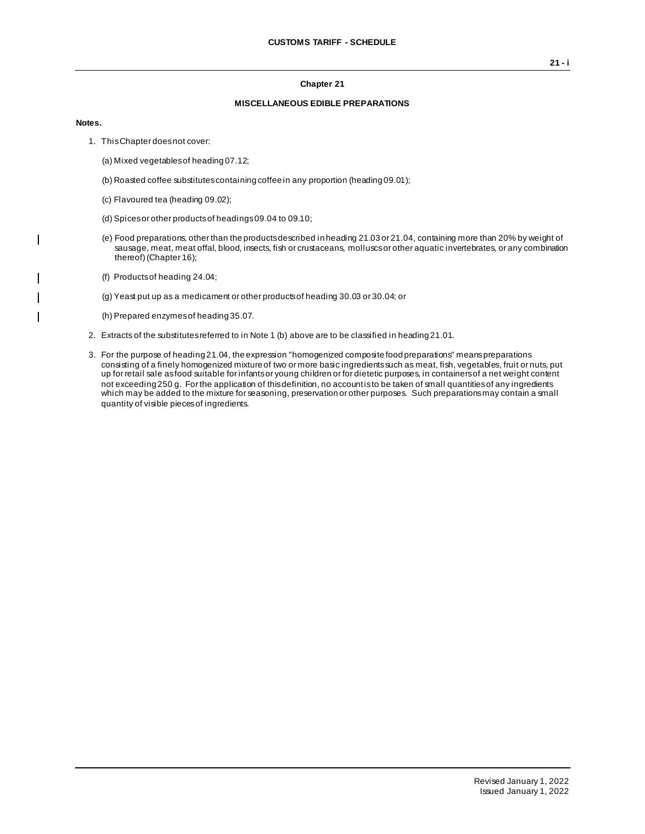#### **Chapter 21**

### **MISCELLANEOUS EDIBLE PREPARATIONS**

#### **Notes.**

 $\overline{\phantom{a}}$ 

 $\overline{\phantom{a}}$ 

- 1. This Chapter does not cover:
	- (a) Mixed vegetables of heading 07.12;
	- (b) Roasted coffee substitutes containing coffee in any proportion (heading 09.01);
	- (c) Flavoured tea (heading 09.02);
	- (d) Spices or other products of headings 09.04 to 09.10;
	- (e) Food preparations, other than the products described in heading 21.03 or 21.04, containing more than 20% by weight of sausage, meat, meat offal, blood, insects, fish or crustaceans, molluscs or other aquatic invertebrates, or any combination thereof) (Chapter 16);
	- (f) Products of heading 24.04;
	- (g) Yeast put up as a medicament or other products of heading 30.03 or 30.04; or
	- (h) Prepared enzymes of heading 35.07.
- 2. Extracts of the substitutes referred to in Note 1 (b) above are to be classified in heading 21.01.
- 3. For the purpose of heading 21.04, the expression "homogenized composite food preparations" means preparations consisting of a finely homogenized mixture of two or more basic ingredients such as meat, fish, vegetables, fruit or nuts, put up for retail sale as food suitable for infants or young children or for dietetic purposes, in containers of a net weight content not exceeding 250 g. For the application of this definition, no account is to be taken of small quantities of any ingredients which may be added to the mixture for seasoning, preservation or other purposes. Such preparations may contain a small quantity of visible pieces of ingredients.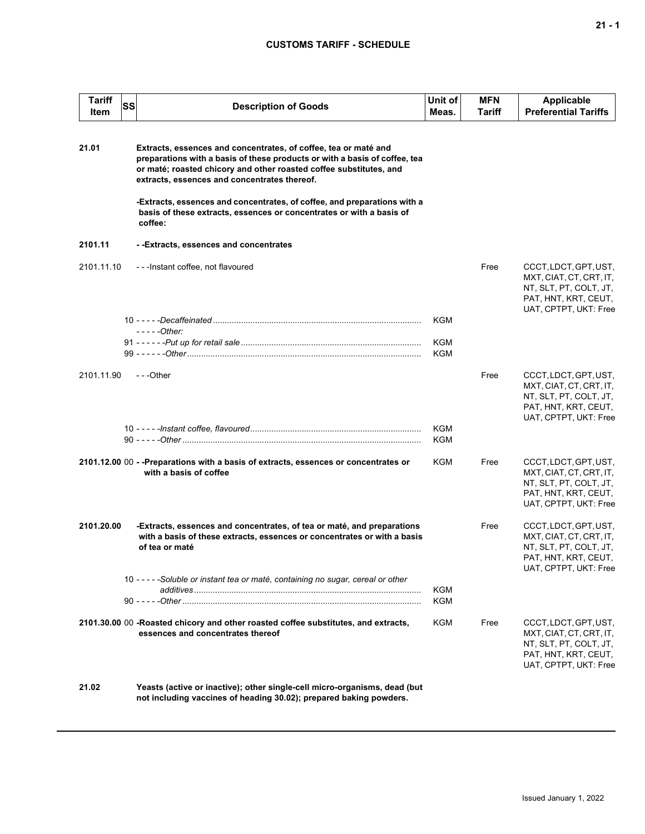## **CUSTOMS TARIFF - SCHEDULE**

| <b>Tariff</b><br>Item | SS | <b>Description of Goods</b>                                                                                                                                                                                                                                         | Unit of<br>Meas.  | MFN<br>Tariff | <b>Applicable</b><br><b>Preferential Tariffs</b>                                                                            |
|-----------------------|----|---------------------------------------------------------------------------------------------------------------------------------------------------------------------------------------------------------------------------------------------------------------------|-------------------|---------------|-----------------------------------------------------------------------------------------------------------------------------|
| 21.01                 |    | Extracts, essences and concentrates, of coffee, tea or maté and<br>preparations with a basis of these products or with a basis of coffee, tea<br>or maté; roasted chicory and other roasted coffee substitutes, and<br>extracts, essences and concentrates thereof. |                   |               |                                                                                                                             |
|                       |    | -Extracts, essences and concentrates, of coffee, and preparations with a<br>basis of these extracts, essences or concentrates or with a basis of<br>coffee:                                                                                                         |                   |               |                                                                                                                             |
| 2101.11               |    | --Extracts, essences and concentrates                                                                                                                                                                                                                               |                   |               |                                                                                                                             |
| 2101.11.10            |    | ---Instant coffee, not flavoured                                                                                                                                                                                                                                    |                   | Free          | CCCT, LDCT, GPT, UST,<br>MXT, CIAT, CT, CRT, IT,<br>NT, SLT, PT, COLT, JT,<br>PAT, HNT, KRT, CEUT,<br>UAT, CPTPT, UKT: Free |
|                       |    | $---Other:$                                                                                                                                                                                                                                                         | <b>KGM</b>        |               |                                                                                                                             |
|                       |    |                                                                                                                                                                                                                                                                     | KGM<br><b>KGM</b> |               |                                                                                                                             |
| 2101.11.90            |    | $- -$ Other                                                                                                                                                                                                                                                         |                   | Free          | CCCT, LDCT, GPT, UST,<br>MXT, CIAT, CT, CRT, IT,<br>NT, SLT, PT, COLT, JT,<br>PAT, HNT, KRT, CEUT,<br>UAT, CPTPT, UKT: Free |
|                       |    |                                                                                                                                                                                                                                                                     | KGM<br>KGM        |               |                                                                                                                             |
|                       |    | 2101.12.00 00 - -Preparations with a basis of extracts, essences or concentrates or<br>with a basis of coffee                                                                                                                                                       | KGM               | Free          | CCCT, LDCT, GPT, UST,<br>MXT, CIAT, CT, CRT, IT,<br>NT, SLT, PT, COLT, JT,<br>PAT, HNT, KRT, CEUT,<br>UAT, CPTPT, UKT: Free |
| 2101.20.00            |    | -Extracts, essences and concentrates, of tea or maté, and preparations<br>with a basis of these extracts, essences or concentrates or with a basis<br>of tea or maté                                                                                                |                   | Free          | CCCT, LDCT, GPT, UST,<br>MXT, CIAT, CT, CRT, IT,<br>NT, SLT, PT, COLT, JT,<br>PAT, HNT, KRT, CEUT,<br>UAT, CPTPT, UKT: Free |
|                       |    | 10 - - - - - Soluble or instant tea or maté, containing no sugar, cereal or other                                                                                                                                                                                   | KGM<br>KGM        |               |                                                                                                                             |
|                       |    | 2101.30.00 00 -Roasted chicory and other roasted coffee substitutes, and extracts,<br>essences and concentrates thereof                                                                                                                                             | KGM               | Free          | CCCT, LDCT, GPT, UST,<br>MXT, CIAT, CT, CRT, IT,<br>NT, SLT, PT, COLT, JT,<br>PAT, HNT, KRT, CEUT,<br>UAT, CPTPT, UKT: Free |
| 21.02                 |    | Yeasts (active or inactive); other single-cell micro-organisms, dead (but<br>not including vaccines of heading 30.02); prepared baking powders.                                                                                                                     |                   |               |                                                                                                                             |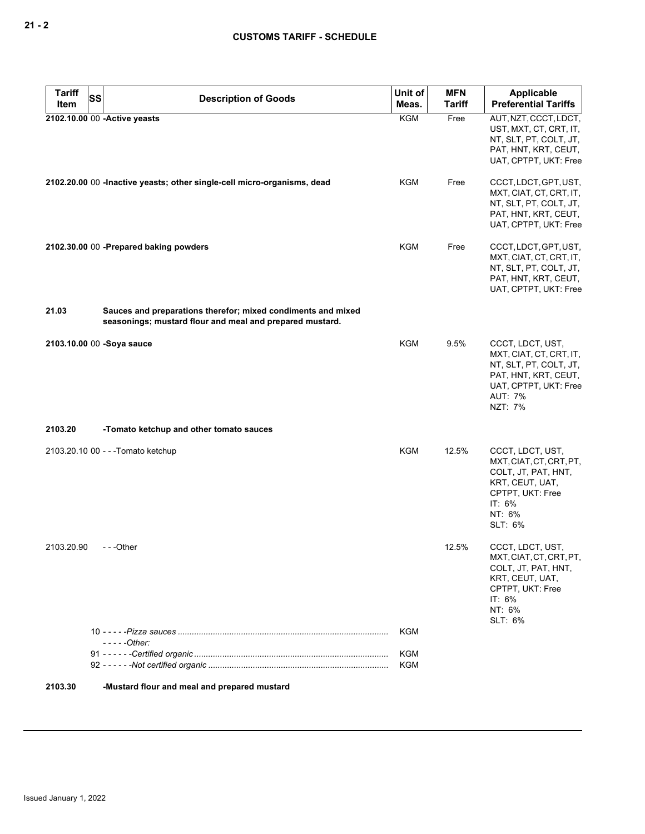| <b>Tariff</b><br><b>SS</b> | <b>Description of Goods</b>                                                                                              | Unit of<br>Meas.  | <b>MFN</b><br><b>Tariff</b> | <b>Applicable</b><br><b>Preferential Tariffs</b>                                                                                                    |
|----------------------------|--------------------------------------------------------------------------------------------------------------------------|-------------------|-----------------------------|-----------------------------------------------------------------------------------------------------------------------------------------------------|
| Item                       |                                                                                                                          | <b>KGM</b>        | Free                        |                                                                                                                                                     |
|                            | 2102.10.00 00 - Active yeasts                                                                                            |                   |                             | AUT, NZT, CCCT, LDCT,<br>UST, MXT, CT, CRT, IT,<br>NT, SLT, PT, COLT, JT,<br>PAT, HNT, KRT, CEUT,<br>UAT, CPTPT, UKT: Free                          |
|                            | 2102.20.00 00 - Inactive yeasts; other single-cell micro-organisms, dead                                                 | KGM               | Free                        | CCCT, LDCT, GPT, UST,<br>MXT, CIAT, CT, CRT, IT,<br>NT, SLT, PT, COLT, JT,<br>PAT, HNT, KRT, CEUT,<br>UAT, CPTPT, UKT: Free                         |
|                            | 2102.30.00 00 -Prepared baking powders                                                                                   | KGM               | Free                        | CCCT, LDCT, GPT, UST,<br>MXT, CIAT, CT, CRT, IT,<br>NT, SLT, PT, COLT, JT,<br>PAT, HNT, KRT, CEUT,<br>UAT, CPTPT, UKT: Free                         |
| 21.03                      | Sauces and preparations therefor; mixed condiments and mixed<br>seasonings; mustard flour and meal and prepared mustard. |                   |                             |                                                                                                                                                     |
|                            | 2103.10.00 00 -Soya sauce                                                                                                | <b>KGM</b>        | 9.5%                        | CCCT, LDCT, UST,<br>MXT, CIAT, CT, CRT, IT,<br>NT, SLT, PT, COLT, JT,<br>PAT, HNT, KRT, CEUT,<br>UAT, CPTPT, UKT: Free<br><b>AUT: 7%</b><br>NZT: 7% |
| 2103.20                    | -Tomato ketchup and other tomato sauces                                                                                  |                   |                             |                                                                                                                                                     |
|                            | 2103.20.10 00 - - - Tomato ketchup                                                                                       | <b>KGM</b>        | 12.5%                       | CCCT, LDCT, UST,<br>MXT, CIAT, CT, CRT, PT,<br>COLT, JT, PAT, HNT,<br>KRT, CEUT, UAT,<br>CPTPT, UKT: Free<br>IT: 6%<br>NT: 6%<br>SLT: 6%            |
| 2103.20.90                 | ---Other                                                                                                                 |                   | 12.5%                       | CCCT, LDCT, UST,<br>MXT, CIAT, CT, CRT, PT,<br>COLT, JT, PAT, HNT,<br>KRT, CEUT, UAT,<br>CPTPT, UKT: Free<br>IT: 6%<br>NT: 6%<br>SLT: 6%            |
|                            |                                                                                                                          | KGM               |                             |                                                                                                                                                     |
|                            | - - - - - Other:                                                                                                         | KGM<br><b>KGM</b> |                             |                                                                                                                                                     |
| 2103.30                    | -Mustard flour and meal and prepared mustard                                                                             |                   |                             |                                                                                                                                                     |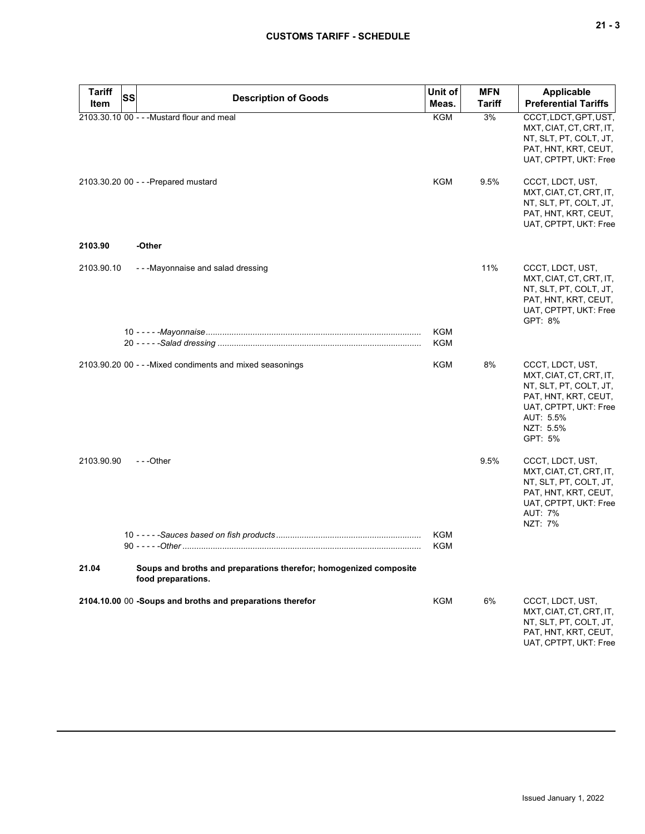| <b>Tariff</b><br>Item | SS | <b>Description of Goods</b>                                                             | Unit of<br>Meas.  | <b>MFN</b><br><b>Tariff</b> | Applicable<br><b>Preferential Tariffs</b>                                                                                                                   |
|-----------------------|----|-----------------------------------------------------------------------------------------|-------------------|-----------------------------|-------------------------------------------------------------------------------------------------------------------------------------------------------------|
|                       |    | 2103.30.10 00 - - - Mustard flour and meal                                              | <b>KGM</b>        | 3%                          | CCCT, LDCT, GPT, UST,<br>MXT, CIAT, CT, CRT, IT,<br>NT, SLT, PT, COLT, JT,<br>PAT, HNT, KRT, CEUT,<br>UAT, CPTPT, UKT: Free                                 |
|                       |    | 2103.30.20 00 - - - Prepared mustard                                                    | KGM               | 9.5%                        | CCCT, LDCT, UST,<br>MXT, CIAT, CT, CRT, IT,<br>NT, SLT, PT, COLT, JT,<br>PAT, HNT, KRT, CEUT,<br>UAT, CPTPT, UKT: Free                                      |
| 2103.90               |    | -Other                                                                                  |                   |                             |                                                                                                                                                             |
| 2103.90.10            |    | --Mayonnaise and salad dressing                                                         |                   | 11%                         | CCCT, LDCT, UST,<br>MXT, CIAT, CT, CRT, IT,<br>NT, SLT, PT, COLT, JT,<br>PAT, HNT, KRT, CEUT,<br>UAT, CPTPT, UKT: Free<br>GPT: 8%                           |
|                       |    |                                                                                         | KGM<br><b>KGM</b> |                             |                                                                                                                                                             |
|                       |    |                                                                                         |                   |                             |                                                                                                                                                             |
|                       |    | 2103.90.20 00 - - - Mixed condiments and mixed seasonings                               | KGM               | 8%                          | CCCT, LDCT, UST,<br>MXT, CIAT, CT, CRT, IT,<br>NT, SLT, PT, COLT, JT,<br>PAT, HNT, KRT, CEUT,<br>UAT, CPTPT, UKT: Free<br>AUT: 5.5%<br>NZT: 5.5%<br>GPT: 5% |
| 2103.90.90            |    | ---Other                                                                                |                   | 9.5%                        | CCCT, LDCT, UST,<br>MXT, CIAT, CT, CRT, IT,<br>NT, SLT, PT, COLT, JT,<br>PAT, HNT, KRT, CEUT,<br>UAT, CPTPT, UKT: Free<br><b>AUT: 7%</b><br>NZT: 7%         |
|                       |    |                                                                                         | KGM<br><b>KGM</b> |                             |                                                                                                                                                             |
| 21.04                 |    | Soups and broths and preparations therefor; homogenized composite<br>food preparations. |                   |                             |                                                                                                                                                             |
|                       |    | 2104.10.00 00 -Soups and broths and preparations therefor                               | <b>KGM</b>        | 6%                          | CCCT, LDCT, UST,<br>MXT, CIAT, CT, CRT, IT,<br>NT, SLT, PT, COLT, JT,<br>PAT, HNT, KRT, CEUT,<br>UAT, CPTPT, UKT: Free                                      |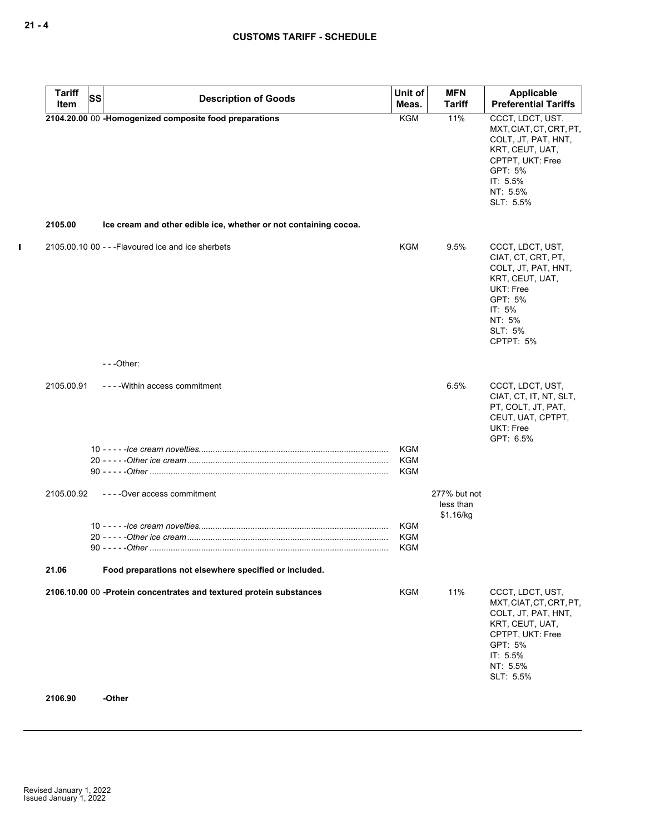| <b>Tariff</b><br><b>SS</b><br>Item | <b>Description of Goods</b>                                                   | Unit of<br>Meas.                | <b>MFN</b><br><b>Tariff</b>            | Applicable<br><b>Preferential Tariffs</b>                                                                                                                   |
|------------------------------------|-------------------------------------------------------------------------------|---------------------------------|----------------------------------------|-------------------------------------------------------------------------------------------------------------------------------------------------------------|
|                                    | 2104.20.00 00 -Homogenized composite food preparations                        | <b>KGM</b>                      | 11%                                    | CCCT, LDCT, UST,<br>MXT, CIAT, CT, CRT, PT,                                                                                                                 |
|                                    |                                                                               |                                 |                                        | COLT, JT, PAT, HNT,<br>KRT, CEUT, UAT,<br>CPTPT, UKT: Free<br>GPT: 5%<br>IT: 5.5%<br>NT: 5.5%<br>SLT: 5.5%                                                  |
| 2105.00                            | Ice cream and other edible ice, whether or not containing cocoa.              |                                 |                                        |                                                                                                                                                             |
|                                    | 2105.00.10 00 - - - Flavoured ice and ice sherbets                            | <b>KGM</b>                      | 9.5%                                   | CCCT, LDCT, UST,<br>CIAT, CT, CRT, PT,<br>COLT, JT, PAT, HNT,<br>KRT, CEUT, UAT,<br><b>UKT: Free</b><br>GPT: 5%<br>IT: 5%<br>NT: 5%<br>SLT: 5%<br>CPTPT: 5% |
|                                    | $--$ Other:                                                                   |                                 |                                        |                                                                                                                                                             |
| 2105.00.91                         | ----Within access commitment                                                  | KGM                             | 6.5%                                   | CCCT, LDCT, UST,<br>CIAT, CT, IT, NT, SLT,<br>PT, COLT, JT, PAT,<br>CEUT, UAT, CPTPT,<br><b>UKT: Free</b><br>GPT: 6.5%                                      |
|                                    |                                                                               | KGM<br>KGM                      |                                        |                                                                                                                                                             |
| 2105.00.92                         | ----Over access commitment                                                    |                                 | 277% but not<br>less than<br>\$1.16/kg |                                                                                                                                                             |
|                                    |                                                                               | KGM<br><b>KGM</b><br><b>KGM</b> |                                        |                                                                                                                                                             |
| 21.06                              | Food preparations not elsewhere specified or included.                        |                                 |                                        |                                                                                                                                                             |
| 2106.90                            | 2106.10.00 00 -Protein concentrates and textured protein substances<br>-Other | KGM                             | 11%                                    | CCCT, LDCT, UST,<br>MXT, CIAT, CT, CRT, PT,<br>COLT, JT, PAT, HNT,<br>KRT, CEUT, UAT,<br>CPTPT, UKT: Free<br>GPT: 5%<br>IT: 5.5%<br>NT: 5.5%<br>SLT: 5.5%   |

 $\mathbf{I}$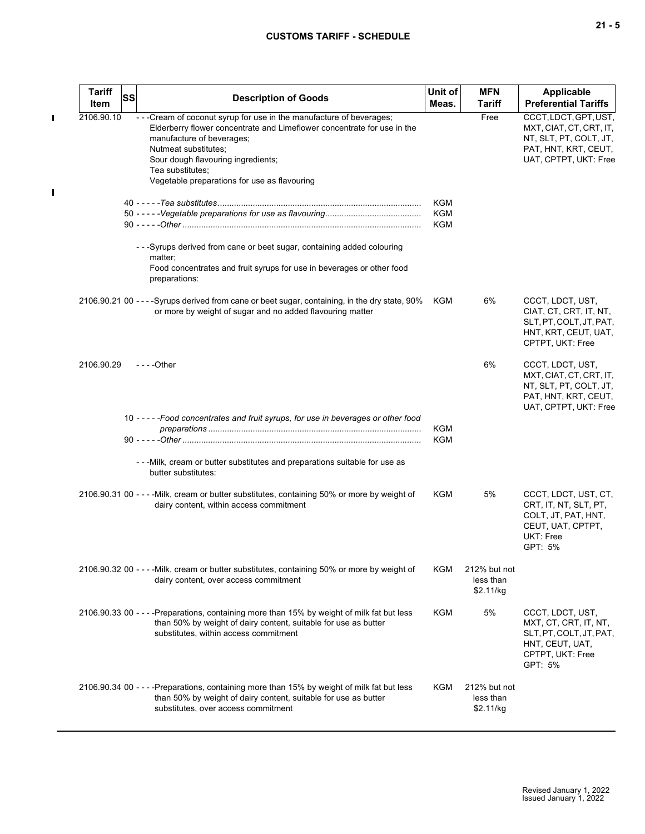# **CUSTOMS TARIFF - SCHEDULE**

|  |  | ×<br>۰. |
|--|--|---------|
|--|--|---------|

| <b>Tariff</b><br>Item | <b>SS</b> | <b>Description of Goods</b>                                                                                                                                                                                                                                                                                     | Unit of<br>Meas.         | <b>MFN</b><br><b>Tariff</b>            | <b>Applicable</b><br><b>Preferential Tariffs</b>                                                                            |
|-----------------------|-----------|-----------------------------------------------------------------------------------------------------------------------------------------------------------------------------------------------------------------------------------------------------------------------------------------------------------------|--------------------------|----------------------------------------|-----------------------------------------------------------------------------------------------------------------------------|
| 2106.90.10            |           | - - - Cream of coconut syrup for use in the manufacture of beverages;<br>Elderberry flower concentrate and Limeflower concentrate for use in the<br>manufacture of beverages;<br>Nutmeat substitutes;<br>Sour dough flavouring ingredients;<br>Tea substitutes;<br>Vegetable preparations for use as flavouring |                          | Free                                   | CCCT, LDCT, GPT, UST,<br>MXT, CIAT, CT, CRT, IT,<br>NT, SLT, PT, COLT, JT,<br>PAT, HNT, KRT, CEUT,<br>UAT, CPTPT, UKT: Free |
|                       |           |                                                                                                                                                                                                                                                                                                                 | KGM<br><b>KGM</b><br>KGM |                                        |                                                                                                                             |
|                       |           | - - - Syrups derived from cane or beet sugar, containing added colouring<br>matter;<br>Food concentrates and fruit syrups for use in beverages or other food<br>preparations:                                                                                                                                   |                          |                                        |                                                                                                                             |
|                       |           | 2106.90.21 00 - - - -Syrups derived from cane or beet sugar, containing, in the dry state, 90%<br>or more by weight of sugar and no added flavouring matter                                                                                                                                                     | KGM                      | 6%                                     | CCCT, LDCT, UST,<br>CIAT, CT, CRT, IT, NT,<br>SLT, PT, COLT, JT, PAT,<br>HNT, KRT, CEUT, UAT,<br>CPTPT, UKT: Free           |
| 2106.90.29            |           | - - - - Other                                                                                                                                                                                                                                                                                                   |                          | 6%                                     | CCCT, LDCT, UST,<br>MXT, CIAT, CT, CRT, IT,<br>NT, SLT, PT, COLT, JT,<br>PAT, HNT, KRT, CEUT,<br>UAT, CPTPT, UKT: Free      |
|                       |           | 10 - - - - - Food concentrates and fruit syrups, for use in beverages or other food                                                                                                                                                                                                                             | KGM<br>KGM               |                                        |                                                                                                                             |
|                       |           | - - - Milk, cream or butter substitutes and preparations suitable for use as<br>butter substitutes:                                                                                                                                                                                                             |                          |                                        |                                                                                                                             |
|                       |           | 2106.90.31 00 - - - - Milk, cream or butter substitutes, containing 50% or more by weight of<br>dairy content, within access commitment                                                                                                                                                                         | KGM                      | 5%                                     | CCCT, LDCT, UST, CT,<br>CRT, IT, NT, SLT, PT,<br>COLT, JT, PAT, HNT,<br>CEUT, UAT, CPTPT,<br>UKT: Free<br>GPT: 5%           |
|                       |           | 2106.90.32 00 - - - - Milk, cream or butter substitutes, containing 50% or more by weight of<br>dairy content, over access commitment                                                                                                                                                                           | KGM                      | 212% but not<br>less than<br>\$2.11/kg |                                                                                                                             |
|                       |           | 2106.90.33 00 - - - - Preparations, containing more than 15% by weight of milk fat but less<br>than 50% by weight of dairy content, suitable for use as butter<br>substitutes, within access commitment                                                                                                         | KGM                      | 5%                                     | CCCT, LDCT, UST,<br>MXT, CT, CRT, IT, NT,<br>SLT, PT, COLT, JT, PAT,<br>HNT, CEUT, UAT,<br>CPTPT, UKT: Free<br>GPT: 5%      |
|                       |           | 2106.90.34 00 - - - - Preparations, containing more than 15% by weight of milk fat but less<br>than 50% by weight of dairy content, suitable for use as butter<br>substitutes, over access commitment                                                                                                           | KGM                      | 212% but not<br>less than<br>\$2.11/kg |                                                                                                                             |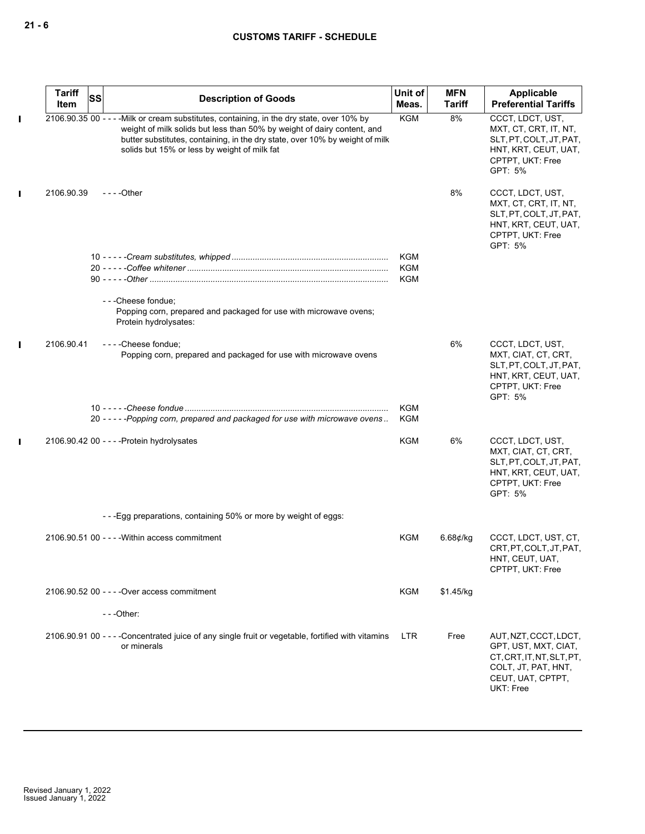|             | <b>Tariff</b><br>Item | SS | <b>Description of Goods</b>                                                                                                                                                                                                                                                                           | Unit of<br>Meas.  | <b>MFN</b><br><b>Tariff</b> | Applicable<br><b>Preferential Tariffs</b>                                                                                           |
|-------------|-----------------------|----|-------------------------------------------------------------------------------------------------------------------------------------------------------------------------------------------------------------------------------------------------------------------------------------------------------|-------------------|-----------------------------|-------------------------------------------------------------------------------------------------------------------------------------|
| П           |                       |    | 2106.90.35 00 - - - - Milk or cream substitutes, containing, in the dry state, over 10% by<br>weight of milk solids but less than 50% by weight of dairy content, and<br>butter substitutes, containing, in the dry state, over 10% by weight of milk<br>solids but 15% or less by weight of milk fat | <b>KGM</b>        | 8%                          | CCCT, LDCT, UST,<br>MXT, CT, CRT, IT, NT,<br>SLT, PT, COLT, JT, PAT,<br>HNT, KRT, CEUT, UAT,<br>CPTPT, UKT: Free<br>GPT: 5%         |
| П           | 2106.90.39            |    | $--$ Other                                                                                                                                                                                                                                                                                            |                   | 8%                          | CCCT, LDCT, UST,<br>MXT, CT, CRT, IT, NT,<br>SLT, PT, COLT, JT, PAT,<br>HNT, KRT, CEUT, UAT,<br>CPTPT, UKT: Free<br>GPT: 5%         |
|             |                       |    |                                                                                                                                                                                                                                                                                                       | KGM<br>KGM<br>KGM |                             |                                                                                                                                     |
|             |                       |    | - - - Cheese fondue;<br>Popping corn, prepared and packaged for use with microwave ovens;<br>Protein hydrolysates:                                                                                                                                                                                    |                   |                             |                                                                                                                                     |
| П           | 2106.90.41            |    | ----Cheese fondue;<br>Popping corn, prepared and packaged for use with microwave ovens                                                                                                                                                                                                                |                   | 6%                          | CCCT, LDCT, UST,<br>MXT, CIAT, CT, CRT,<br>SLT, PT, COLT, JT, PAT,<br>HNT, KRT, CEUT, UAT,<br>CPTPT, UKT: Free<br>GPT: 5%           |
|             |                       |    | 20 - - - - - Popping corn, prepared and packaged for use with microwave ovens                                                                                                                                                                                                                         | <b>KGM</b><br>KGM |                             |                                                                                                                                     |
| $\mathbf I$ |                       |    | 2106.90.42 00 - - - - Protein hydrolysates                                                                                                                                                                                                                                                            | KGM               | 6%                          | CCCT, LDCT, UST,<br>MXT, CIAT, CT, CRT,<br>SLT, PT, COLT, JT, PAT,<br>HNT, KRT, CEUT, UAT,<br>CPTPT, UKT: Free<br>GPT: 5%           |
|             |                       |    | ---Egg preparations, containing 50% or more by weight of eggs:                                                                                                                                                                                                                                        |                   |                             |                                                                                                                                     |
|             |                       |    | 2106.90.51 00 - - - - Within access commitment                                                                                                                                                                                                                                                        | <b>KGM</b>        | $6.68$ ¢/kg                 | CCCT, LDCT, UST, CT,<br>CRT, PT, COLT, JT, PAT,<br>HNT, CEUT, UAT,<br>CPTPT, UKT: Free                                              |
|             |                       |    | 2106.90.52 00 - - - - Over access commitment                                                                                                                                                                                                                                                          | <b>KGM</b>        | \$1.45/kg                   |                                                                                                                                     |
|             |                       |    | $--$ Other:                                                                                                                                                                                                                                                                                           |                   |                             |                                                                                                                                     |
|             |                       |    | 2106.90.91 00 - - - Concentrated juice of any single fruit or vegetable, fortified with vitamins<br>or minerals                                                                                                                                                                                       | <b>LTR</b>        | Free                        | AUT, NZT, CCCT, LDCT,<br>GPT, UST, MXT, CIAT,<br>CT, CRT, IT, NT, SLT, PT,<br>COLT, JT, PAT, HNT,<br>CEUT, UAT, CPTPT,<br>UKT: Free |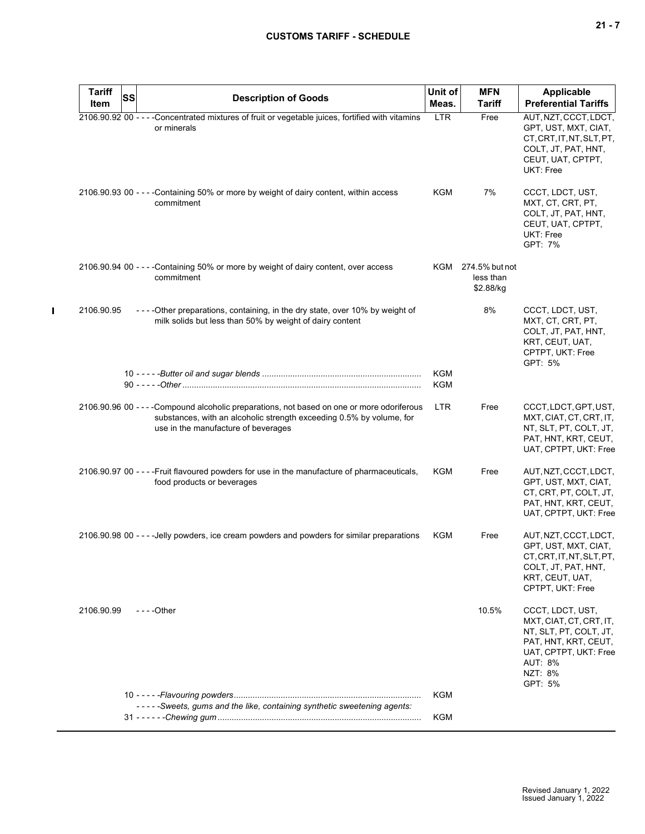| <b>Tariff</b> | <b>SS</b> | <b>Description of Goods</b>                                                                                                                                                                                | Unit of                  | <b>MFN</b>                                   | <b>Applicable</b>                                                                                                                                              |
|---------------|-----------|------------------------------------------------------------------------------------------------------------------------------------------------------------------------------------------------------------|--------------------------|----------------------------------------------|----------------------------------------------------------------------------------------------------------------------------------------------------------------|
| Item          |           |                                                                                                                                                                                                            | Meas.                    | <b>Tariff</b>                                | <b>Preferential Tariffs</b>                                                                                                                                    |
|               |           | 2106.90.92 00 - - - - Concentrated mixtures of fruit or vegetable juices, fortified with vitamins<br>or minerals                                                                                           | <b>LTR</b>               | Free                                         | AUT, NZT, CCCT, LDCT,<br>GPT, UST, MXT, CIAT,<br>CT.CRT.IT.NT.SLT.PT.<br>COLT, JT, PAT, HNT,<br>CEUT, UAT, CPTPT,<br>UKT: Free                                 |
|               |           | 2106.90.93 00 - - - - Containing 50% or more by weight of dairy content, within access<br>commitment                                                                                                       | <b>KGM</b>               | 7%                                           | CCCT, LDCT, UST,<br>MXT, CT, CRT, PT,<br>COLT, JT, PAT, HNT,<br>CEUT, UAT, CPTPT,<br>UKT: Free<br>GPT: 7%                                                      |
|               |           | 2106.90.94 00 - - - - Containing 50% or more by weight of dairy content, over access<br>commitment                                                                                                         |                          | KGM 274.5% but not<br>less than<br>\$2.88/kg |                                                                                                                                                                |
| 2106.90.95    |           | ----Other preparations, containing, in the dry state, over 10% by weight of<br>milk solids but less than 50% by weight of dairy content                                                                    |                          | 8%                                           | CCCT, LDCT, UST,<br>MXT, CT, CRT, PT,<br>COLT, JT, PAT, HNT,<br>KRT, CEUT, UAT,<br>CPTPT, UKT: Free<br>GPT: 5%                                                 |
|               |           |                                                                                                                                                                                                            | <b>KGM</b><br><b>KGM</b> |                                              |                                                                                                                                                                |
|               |           | 2106.90.96 00 - - - - Compound alcoholic preparations, not based on one or more odoriferous<br>substances, with an alcoholic strength exceeding 0.5% by volume, for<br>use in the manufacture of beverages | <b>LTR</b>               | Free                                         | CCCT, LDCT, GPT, UST,<br>MXT, CIAT, CT, CRT, IT,<br>NT, SLT, PT, COLT, JT,<br>PAT, HNT, KRT, CEUT,<br>UAT, CPTPT, UKT: Free                                    |
|               |           | 2106.90.97 00 - - - - Fruit flavoured powders for use in the manufacture of pharmaceuticals,<br>food products or beverages                                                                                 | KGM                      | Free                                         | AUT, NZT, CCCT, LDCT,<br>GPT, UST, MXT, CIAT,<br>CT, CRT, PT, COLT, JT,<br>PAT, HNT, KRT, CEUT,<br>UAT, CPTPT, UKT: Free                                       |
|               |           | 2106.90.98 00 - - - - Jelly powders, ice cream powders and powders for similar preparations                                                                                                                | KGM                      | Free                                         | AUT, NZT, CCCT, LDCT,<br>GPT, UST, MXT, CIAT,<br>CT, CRT, IT, NT, SLT, PT,<br>COLT, JT, PAT, HNT,<br>KRT, CEUT, UAT,<br>CPTPT, UKT: Free                       |
| 2106.90.99    |           | - - - - Other                                                                                                                                                                                              |                          | 10.5%                                        | CCCT, LDCT, UST,<br>MXT, CIAT, CT, CRT, IT,<br>NT, SLT, PT, COLT, JT,<br>PAT, HNT, KRT, CEUT,<br>UAT, CPTPT, UKT: Free<br><b>AUT: 8%</b><br>NZT: 8%<br>GPT: 5% |
|               |           |                                                                                                                                                                                                            | <b>KGM</b>               |                                              |                                                                                                                                                                |
|               |           | -----Sweets, gums and the like, containing synthetic sweetening agents:                                                                                                                                    | KGM                      |                                              |                                                                                                                                                                |

 $\mathbf{I}$